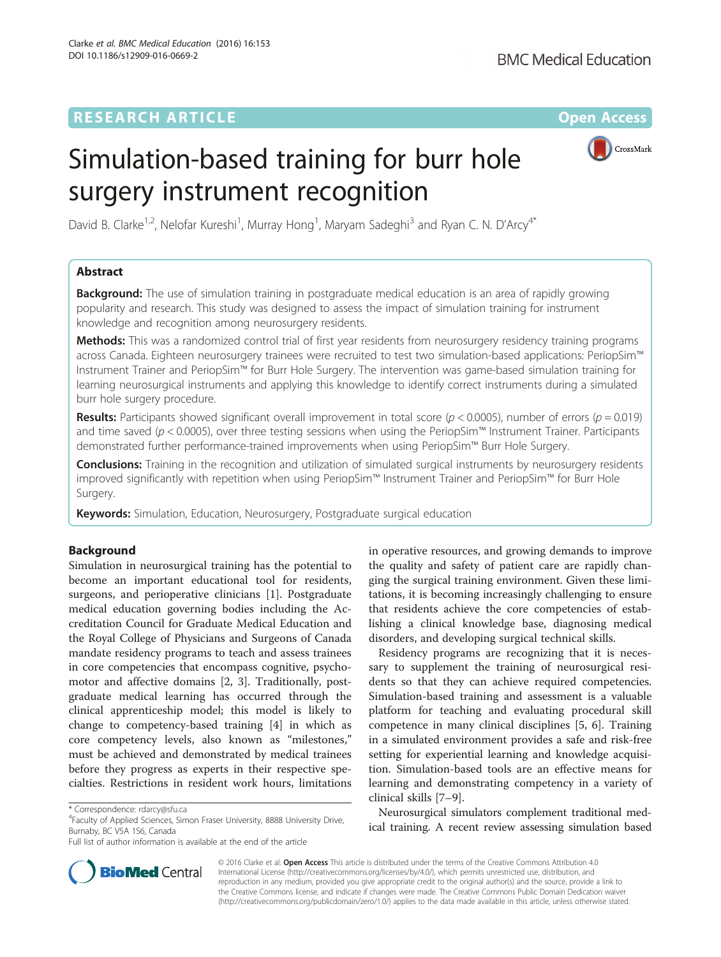# Simulation-based training for burr hole surgery instrument recognition



David B. Clarke<sup>1,2</sup>, Nelofar Kureshi<sup>1</sup>, Murray Hong<sup>1</sup>, Maryam Sadeghi<sup>3</sup> and Ryan C. N. D'Arcy<sup>4\*</sup>

# Abstract

**Background:** The use of simulation training in postgraduate medical education is an area of rapidly growing popularity and research. This study was designed to assess the impact of simulation training for instrument knowledge and recognition among neurosurgery residents.

Methods: This was a randomized control trial of first year residents from neurosurgery residency training programs across Canada. Eighteen neurosurgery trainees were recruited to test two simulation-based applications: PeriopSim™ Instrument Trainer and PeriopSim™ for Burr Hole Surgery. The intervention was game-based simulation training for learning neurosurgical instruments and applying this knowledge to identify correct instruments during a simulated burr hole surgery procedure.

**Results:** Participants showed significant overall improvement in total score ( $p < 0.0005$ ), number of errors ( $p = 0.019$ ) and time saved ( $p$  < 0.0005), over three testing sessions when using the PeriopSim™ Instrument Trainer. Participants demonstrated further performance-trained improvements when using PeriopSim™ Burr Hole Surgery.

**Conclusions:** Training in the recognition and utilization of simulated surgical instruments by neurosurgery residents improved significantly with repetition when using PeriopSim™ Instrument Trainer and PeriopSim™ for Burr Hole Surgery.

Keywords: Simulation, Education, Neurosurgery, Postgraduate surgical education

# Background

Simulation in neurosurgical training has the potential to become an important educational tool for residents, surgeons, and perioperative clinicians [[1\]](#page-6-0). Postgraduate medical education governing bodies including the Accreditation Council for Graduate Medical Education and the Royal College of Physicians and Surgeons of Canada mandate residency programs to teach and assess trainees in core competencies that encompass cognitive, psychomotor and affective domains [\[2](#page-6-0), [3](#page-6-0)]. Traditionally, postgraduate medical learning has occurred through the clinical apprenticeship model; this model is likely to change to competency-based training [[4\]](#page-6-0) in which as core competency levels, also known as "milestones," must be achieved and demonstrated by medical trainees before they progress as experts in their respective specialties. Restrictions in resident work hours, limitations

in operative resources, and growing demands to improve the quality and safety of patient care are rapidly changing the surgical training environment. Given these limitations, it is becoming increasingly challenging to ensure that residents achieve the core competencies of establishing a clinical knowledge base, diagnosing medical disorders, and developing surgical technical skills.

Residency programs are recognizing that it is necessary to supplement the training of neurosurgical residents so that they can achieve required competencies. Simulation-based training and assessment is a valuable platform for teaching and evaluating procedural skill competence in many clinical disciplines [\[5](#page-6-0), [6](#page-6-0)]. Training in a simulated environment provides a safe and risk-free setting for experiential learning and knowledge acquisition. Simulation-based tools are an effective means for learning and demonstrating competency in a variety of clinical skills [[7](#page-6-0)–[9](#page-6-0)].

Neurosurgical simulators complement traditional medical training. A recent review assessing simulation based



© 2016 Clarke et al. Open Access This article is distributed under the terms of the Creative Commons Attribution 4.0 International License [\(http://creativecommons.org/licenses/by/4.0/](http://creativecommons.org/licenses/by/4.0/)), which permits unrestricted use, distribution, and reproduction in any medium, provided you give appropriate credit to the original author(s) and the source, provide a link to the Creative Commons license, and indicate if changes were made. The Creative Commons Public Domain Dedication waiver [\(http://creativecommons.org/publicdomain/zero/1.0/](http://creativecommons.org/publicdomain/zero/1.0/)) applies to the data made available in this article, unless otherwise stated.

<sup>\*</sup> Correspondence: [rdarcy@sfu.ca](mailto:rdarcy@sfu.ca) <sup>4</sup>

Faculty of Applied Sciences, Simon Fraser University, 8888 University Drive, Burnaby, BC V5A 1S6, Canada

Full list of author information is available at the end of the article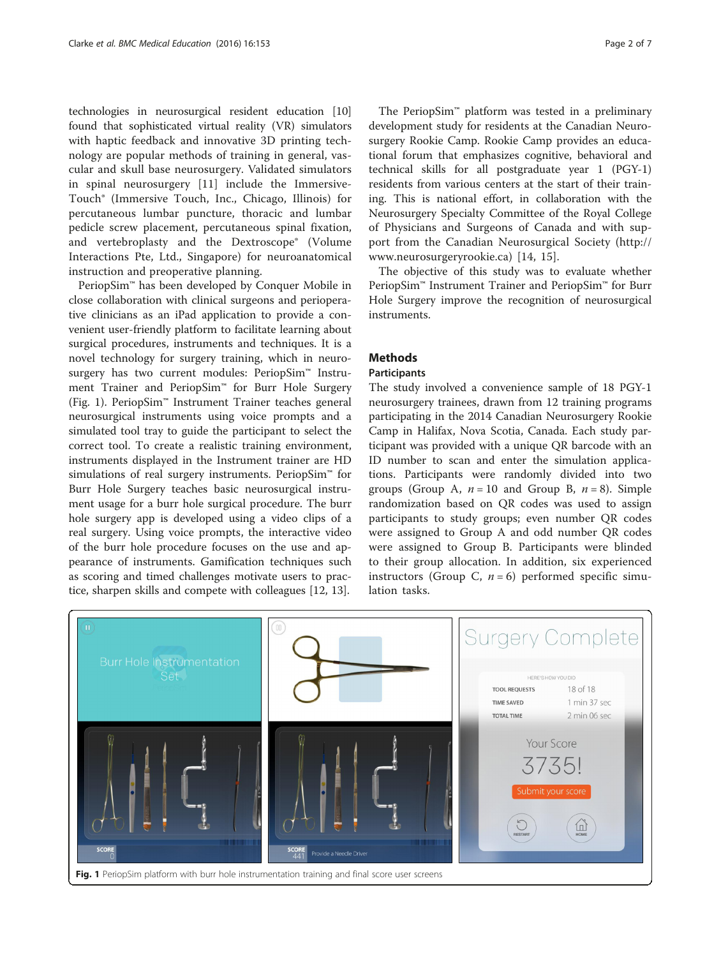<span id="page-1-0"></span>technologies in neurosurgical resident education [[10](#page-6-0)] found that sophisticated virtual reality (VR) simulators with haptic feedback and innovative 3D printing technology are popular methods of training in general, vascular and skull base neurosurgery. Validated simulators in spinal neurosurgery [[11\]](#page-6-0) include the Immersive-Touch® (Immersive Touch, Inc., Chicago, Illinois) for percutaneous lumbar puncture, thoracic and lumbar pedicle screw placement, percutaneous spinal fixation, and vertebroplasty and the Dextroscope® (Volume Interactions Pte, Ltd., Singapore) for neuroanatomical instruction and preoperative planning.

PeriopSim™ has been developed by Conquer Mobile in close collaboration with clinical surgeons and perioperative clinicians as an iPad application to provide a convenient user-friendly platform to facilitate learning about surgical procedures, instruments and techniques. It is a novel technology for surgery training, which in neurosurgery has two current modules: PeriopSim™ Instrument Trainer and PeriopSim™ for Burr Hole Surgery (Fig. 1). PeriopSim™ Instrument Trainer teaches general neurosurgical instruments using voice prompts and a simulated tool tray to guide the participant to select the correct tool. To create a realistic training environment, instruments displayed in the Instrument trainer are HD simulations of real surgery instruments. PeriopSim™ for Burr Hole Surgery teaches basic neurosurgical instrument usage for a burr hole surgical procedure. The burr hole surgery app is developed using a video clips of a real surgery. Using voice prompts, the interactive video of the burr hole procedure focuses on the use and appearance of instruments. Gamification techniques such as scoring and timed challenges motivate users to practice, sharpen skills and compete with colleagues [[12, 13\]](#page-6-0).

The PeriopSim™ platform was tested in a preliminary development study for residents at the Canadian Neurosurgery Rookie Camp. Rookie Camp provides an educational forum that emphasizes cognitive, behavioral and technical skills for all postgraduate year 1 (PGY-1) residents from various centers at the start of their training. This is national effort, in collaboration with the Neurosurgery Specialty Committee of the Royal College of Physicians and Surgeons of Canada and with support from the Canadian Neurosurgical Society ([http://](http://www.neurosurgeryrookie.ca) [www.neurosurgeryrookie.ca](http://www.neurosurgeryrookie.ca)) [[14, 15\]](#page-6-0).

The objective of this study was to evaluate whether PeriopSim™ Instrument Trainer and PeriopSim™ for Burr Hole Surgery improve the recognition of neurosurgical instruments.

## Methods

## Participants

The study involved a convenience sample of 18 PGY-1 neurosurgery trainees, drawn from 12 training programs participating in the 2014 Canadian Neurosurgery Rookie Camp in Halifax, Nova Scotia, Canada. Each study participant was provided with a unique QR barcode with an ID number to scan and enter the simulation applications. Participants were randomly divided into two groups (Group A,  $n = 10$  and Group B,  $n = 8$ ). Simple randomization based on QR codes was used to assign participants to study groups; even number QR codes were assigned to Group A and odd number QR codes were assigned to Group B. Participants were blinded to their group allocation. In addition, six experienced instructors (Group C,  $n = 6$ ) performed specific simulation tasks.

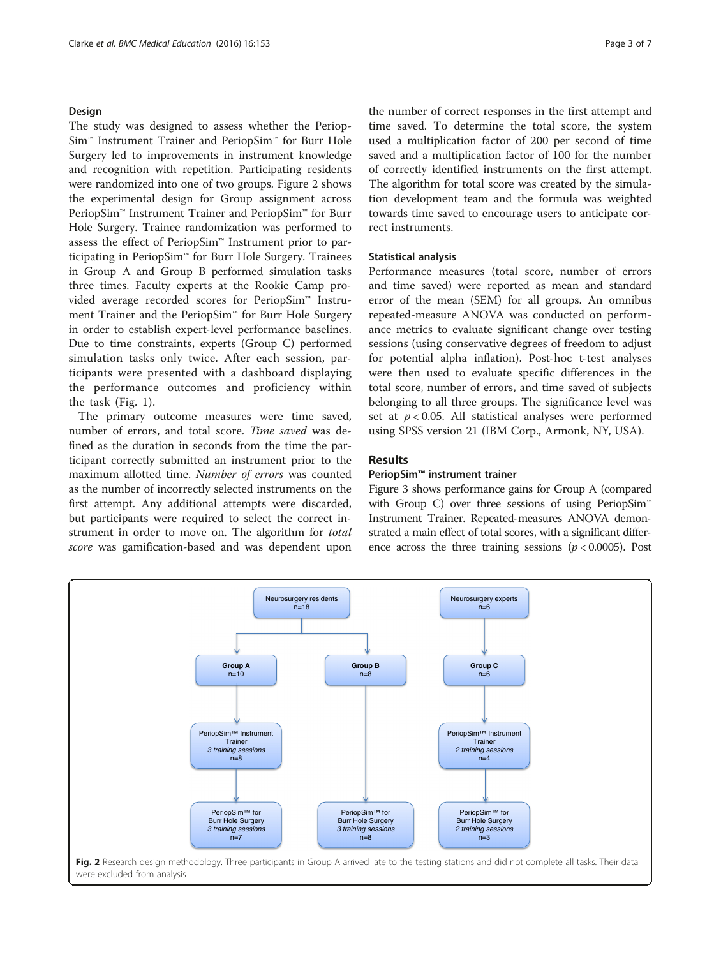## <span id="page-2-0"></span>Design

The study was designed to assess whether the Periop-Sim™ Instrument Trainer and PeriopSim™ for Burr Hole Surgery led to improvements in instrument knowledge and recognition with repetition. Participating residents were randomized into one of two groups. Figure 2 shows the experimental design for Group assignment across PeriopSim™ Instrument Trainer and PeriopSim™ for Burr Hole Surgery. Trainee randomization was performed to assess the effect of PeriopSim™ Instrument prior to participating in PeriopSim™ for Burr Hole Surgery. Trainees in Group A and Group B performed simulation tasks three times. Faculty experts at the Rookie Camp provided average recorded scores for PeriopSim™ Instrument Trainer and the PeriopSim™ for Burr Hole Surgery in order to establish expert-level performance baselines. Due to time constraints, experts (Group C) performed simulation tasks only twice. After each session, participants were presented with a dashboard displaying the performance outcomes and proficiency within the task (Fig. [1\)](#page-1-0).

The primary outcome measures were time saved, number of errors, and total score. Time saved was defined as the duration in seconds from the time the participant correctly submitted an instrument prior to the maximum allotted time. Number of errors was counted as the number of incorrectly selected instruments on the first attempt. Any additional attempts were discarded, but participants were required to select the correct instrument in order to move on. The algorithm for total score was gamification-based and was dependent upon

the number of correct responses in the first attempt and time saved. To determine the total score, the system used a multiplication factor of 200 per second of time saved and a multiplication factor of 100 for the number of correctly identified instruments on the first attempt. The algorithm for total score was created by the simulation development team and the formula was weighted towards time saved to encourage users to anticipate correct instruments.

## Statistical analysis

Performance measures (total score, number of errors and time saved) were reported as mean and standard error of the mean (SEM) for all groups. An omnibus repeated-measure ANOVA was conducted on performance metrics to evaluate significant change over testing sessions (using conservative degrees of freedom to adjust for potential alpha inflation). Post-hoc t-test analyses were then used to evaluate specific differences in the total score, number of errors, and time saved of subjects belonging to all three groups. The significance level was set at  $p < 0.05$ . All statistical analyses were performed using SPSS version 21 (IBM Corp., Armonk, NY, USA).

## **Results**

## PeriopSim™ instrument trainer

Figure [3](#page-3-0) shows performance gains for Group A (compared with Group C) over three sessions of using PeriopSim<sup>™</sup> Instrument Trainer. Repeated-measures ANOVA demonstrated a main effect of total scores, with a significant difference across the three training sessions ( $p < 0.0005$ ). Post

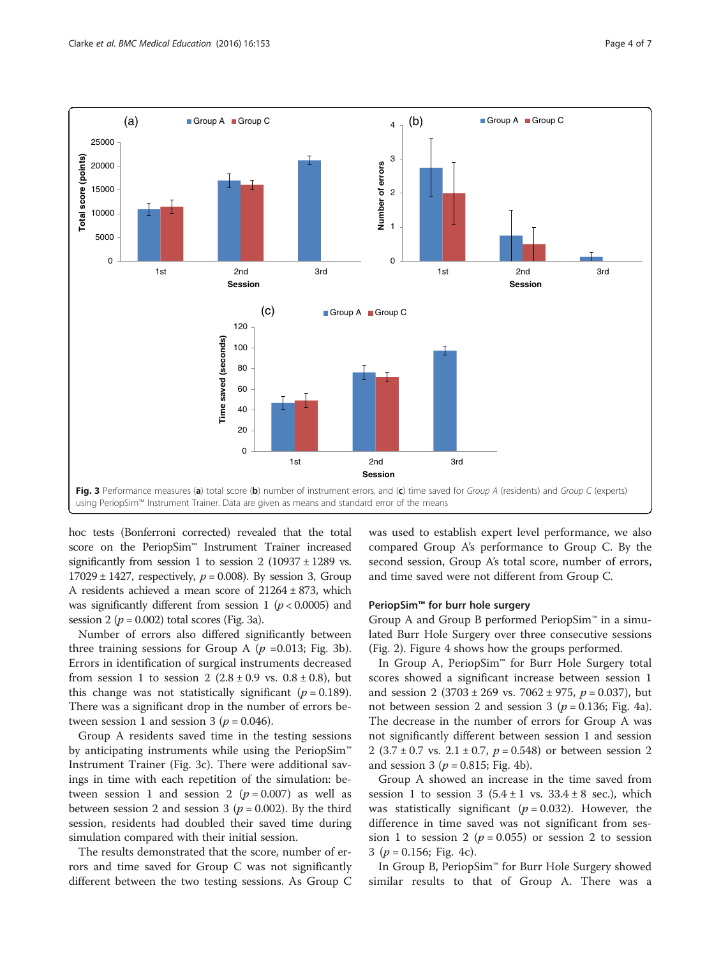<span id="page-3-0"></span>

hoc tests (Bonferroni corrected) revealed that the total score on the PeriopSim™ Instrument Trainer increased significantly from session 1 to session 2 (10937  $\pm$  1289 vs.  $17029 \pm 1427$ , respectively,  $p = 0.008$ ). By session 3, Group A residents achieved a mean score of 21264 ± 873, which was significantly different from session 1 ( $p < 0.0005$ ) and session 2 ( $p = 0.002$ ) total scores (Fig. 3a).

Number of errors also differed significantly between three training sessions for Group A  $(p = 0.013;$  Fig. 3b). Errors in identification of surgical instruments decreased from session 1 to session 2  $(2.8 \pm 0.9 \text{ vs. } 0.8 \pm 0.8)$ , but this change was not statistically significant ( $p = 0.189$ ). There was a significant drop in the number of errors between session 1 and session 3 ( $p = 0.046$ ).

Group A residents saved time in the testing sessions by anticipating instruments while using the PeriopSim<sup>™</sup> Instrument Trainer (Fig. 3c). There were additional savings in time with each repetition of the simulation: between session 1 and session 2 ( $p = 0.007$ ) as well as between session 2 and session 3 ( $p = 0.002$ ). By the third session, residents had doubled their saved time during simulation compared with their initial session.

The results demonstrated that the score, number of errors and time saved for Group C was not significantly different between the two testing sessions. As Group C was used to establish expert level performance, we also compared Group A's performance to Group C. By the second session, Group A's total score, number of errors, and time saved were not different from Group C.

### PeriopSim<sup>™</sup> for burr hole surgery

Group A and Group B performed PeriopSim™ in a simulated Burr Hole Surgery over three consecutive sessions (Fig. [2](#page-2-0)). Figure [4](#page-4-0) shows how the groups performed.

In Group A, PeriopSim™ for Burr Hole Surgery total scores showed a significant increase between session 1 and session 2 (3703 ± 269 vs. 7062 ± 975,  $p = 0.037$ ), but not between session 2 and session 3 ( $p = 0.136$ ; Fig. [4a](#page-4-0)). The decrease in the number of errors for Group A was not significantly different between session 1 and session 2 (3.7 ± 0.7 vs. 2.1 ± 0.7,  $p = 0.548$ ) or between session 2 and session 3 ( $p = 0.815$ ; Fig. [4b\)](#page-4-0).

Group A showed an increase in the time saved from session 1 to session 3  $(5.4 \pm 1 \text{ vs. } 33.4 \pm 8 \text{ sec.})$ , which was statistically significant ( $p = 0.032$ ). However, the difference in time saved was not significant from session 1 to session 2 ( $p = 0.055$ ) or session 2 to session 3 ( $p = 0.156$ ; Fig. [4c](#page-4-0)).

In Group B, PeriopSim™ for Burr Hole Surgery showed similar results to that of Group A. There was a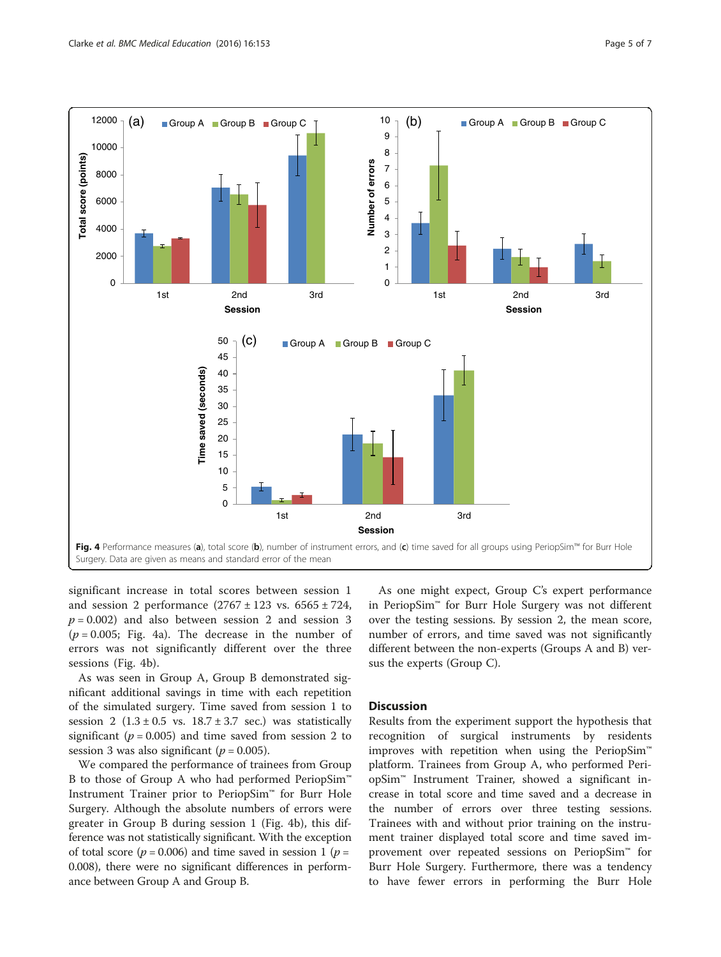<span id="page-4-0"></span>

significant increase in total scores between session 1 and session 2 performance  $(2767 \pm 123 \text{ vs. } 6565 \pm 724,$  $p = 0.002$ ) and also between session 2 and session 3  $(p = 0.005;$  Fig. 4a). The decrease in the number of errors was not significantly different over the three sessions (Fig. 4b).

As was seen in Group A, Group B demonstrated significant additional savings in time with each repetition of the simulated surgery. Time saved from session 1 to session 2  $(1.3 \pm 0.5 \text{ vs. } 18.7 \pm 3.7 \text{ sec.})$  was statistically significant ( $p = 0.005$ ) and time saved from session 2 to session 3 was also significant ( $p = 0.005$ ).

We compared the performance of trainees from Group B to those of Group A who had performed PeriopSim™ Instrument Trainer prior to PeriopSim™ for Burr Hole Surgery. Although the absolute numbers of errors were greater in Group B during session 1 (Fig. 4b), this difference was not statistically significant. With the exception of total score ( $p = 0.006$ ) and time saved in session 1 ( $p =$ 0.008), there were no significant differences in performance between Group A and Group B.

As one might expect, Group C's expert performance in PeriopSim™ for Burr Hole Surgery was not different over the testing sessions. By session 2, the mean score, number of errors, and time saved was not significantly different between the non-experts (Groups A and B) versus the experts (Group C).

# **Discussion**

Results from the experiment support the hypothesis that recognition of surgical instruments by residents improves with repetition when using the PeriopSim™ platform. Trainees from Group A, who performed PeriopSim™ Instrument Trainer, showed a significant increase in total score and time saved and a decrease in the number of errors over three testing sessions. Trainees with and without prior training on the instrument trainer displayed total score and time saved improvement over repeated sessions on PeriopSim™ for Burr Hole Surgery. Furthermore, there was a tendency to have fewer errors in performing the Burr Hole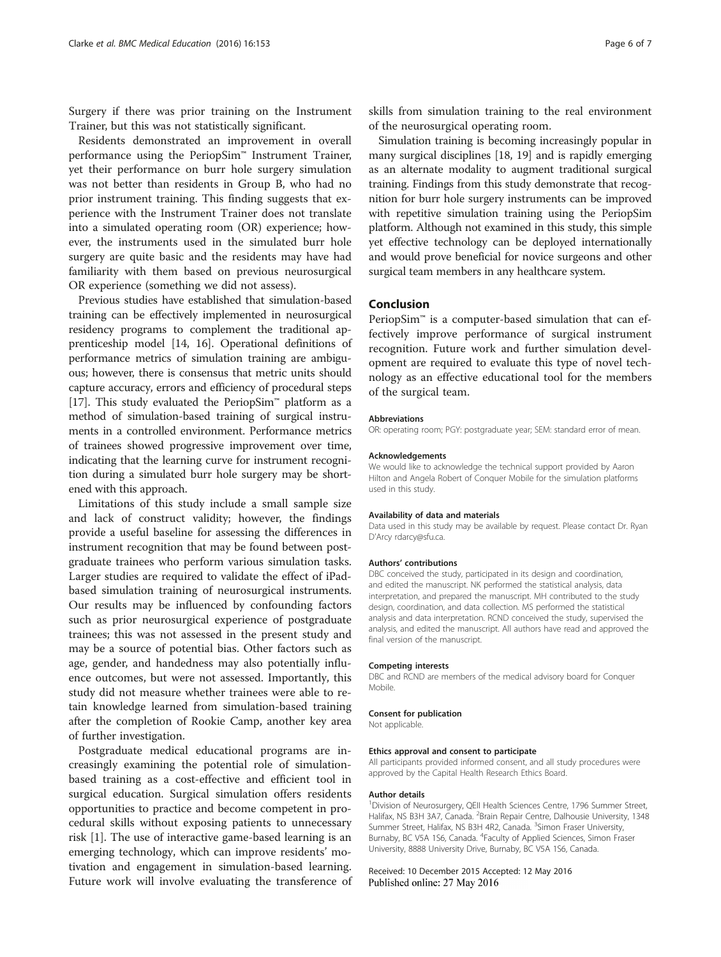Surgery if there was prior training on the Instrument Trainer, but this was not statistically significant.

Residents demonstrated an improvement in overall performance using the PeriopSim™ Instrument Trainer, yet their performance on burr hole surgery simulation was not better than residents in Group B, who had no prior instrument training. This finding suggests that experience with the Instrument Trainer does not translate into a simulated operating room (OR) experience; however, the instruments used in the simulated burr hole surgery are quite basic and the residents may have had familiarity with them based on previous neurosurgical OR experience (something we did not assess).

Previous studies have established that simulation-based training can be effectively implemented in neurosurgical residency programs to complement the traditional apprenticeship model [[14](#page-6-0), [16](#page-6-0)]. Operational definitions of performance metrics of simulation training are ambiguous; however, there is consensus that metric units should capture accuracy, errors and efficiency of procedural steps [[17](#page-6-0)]. This study evaluated the PeriopSim™ platform as a method of simulation-based training of surgical instruments in a controlled environment. Performance metrics of trainees showed progressive improvement over time, indicating that the learning curve for instrument recognition during a simulated burr hole surgery may be shortened with this approach.

Limitations of this study include a small sample size and lack of construct validity; however, the findings provide a useful baseline for assessing the differences in instrument recognition that may be found between postgraduate trainees who perform various simulation tasks. Larger studies are required to validate the effect of iPadbased simulation training of neurosurgical instruments. Our results may be influenced by confounding factors such as prior neurosurgical experience of postgraduate trainees; this was not assessed in the present study and may be a source of potential bias. Other factors such as age, gender, and handedness may also potentially influence outcomes, but were not assessed. Importantly, this study did not measure whether trainees were able to retain knowledge learned from simulation-based training after the completion of Rookie Camp, another key area of further investigation.

Postgraduate medical educational programs are increasingly examining the potential role of simulationbased training as a cost-effective and efficient tool in surgical education. Surgical simulation offers residents opportunities to practice and become competent in procedural skills without exposing patients to unnecessary risk [[1\]](#page-6-0). The use of interactive game-based learning is an emerging technology, which can improve residents' motivation and engagement in simulation-based learning. Future work will involve evaluating the transference of

skills from simulation training to the real environment of the neurosurgical operating room.

Simulation training is becoming increasingly popular in many surgical disciplines [[18, 19\]](#page-6-0) and is rapidly emerging as an alternate modality to augment traditional surgical training. Findings from this study demonstrate that recognition for burr hole surgery instruments can be improved with repetitive simulation training using the PeriopSim platform. Although not examined in this study, this simple yet effective technology can be deployed internationally and would prove beneficial for novice surgeons and other surgical team members in any healthcare system.

## Conclusion

PeriopSim<sup>™</sup> is a computer-based simulation that can effectively improve performance of surgical instrument recognition. Future work and further simulation development are required to evaluate this type of novel technology as an effective educational tool for the members of the surgical team.

#### Abbreviations

OR: operating room; PGY: postgraduate year; SEM: standard error of mean.

#### Acknowledgements

We would like to acknowledge the technical support provided by Aaron Hilton and Angela Robert of Conquer Mobile for the simulation platforms used in this study.

#### Availability of data and materials

Data used in this study may be available by request. Please contact Dr. Ryan D'Arcy rdarcy@sfu.ca.

#### Authors' contributions

DBC conceived the study, participated in its design and coordination, and edited the manuscript. NK performed the statistical analysis, data interpretation, and prepared the manuscript. MH contributed to the study design, coordination, and data collection. MS performed the statistical analysis and data interpretation. RCND conceived the study, supervised the analysis, and edited the manuscript. All authors have read and approved the final version of the manuscript.

#### Competing interests

DBC and RCND are members of the medical advisory board for Conquer Mobile.

#### Consent for publication

Not applicable.

#### Ethics approval and consent to participate

All participants provided informed consent, and all study procedures were approved by the Capital Health Research Ethics Board.

#### Author details

<sup>1</sup> Division of Neurosurgery, QEII Health Sciences Centre, 1796 Summer Street, Halifax, NS B3H 3A7, Canada. <sup>2</sup>Brain Repair Centre, Dalhousie University, 1348 Summer Street, Halifax, NS B3H 4R2, Canada. <sup>3</sup>Simon Fraser University Burnaby, BC V5A 1S6, Canada. <sup>4</sup> Faculty of Applied Sciences, Simon Fraser University, 8888 University Drive, Burnaby, BC V5A 1S6, Canada.

Received: 10 December 2015 Accepted: 12 May 2016 Published online: 27 May 2016